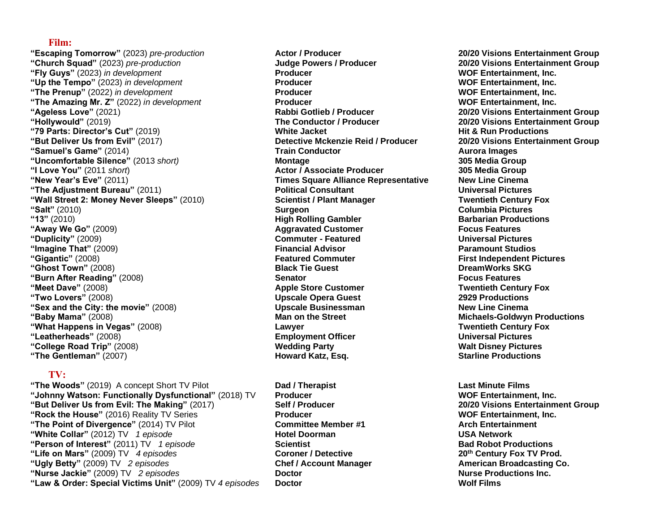#### **Film:**

**"Escaping Tomorrow"** (2023) *pre-production* **Actor / Producer 20/20 Visions Entertainment Group "Church Squad"** (2023) *pre-production* **Judge Powers / Producer 20/20 Visions Entertainment Group "Fly Guys"** (2023) *in development* **Producer WOF Entertainment, Inc. "Up the Tempo"** (2023) *in development* **Producer WOF Entertainment, Inc. "The Prenup"** (2022) *in development* **Producer WOF Entertainment, Inc. "The Amazing Mr. Z"** (2022) *in development* **Producer WOF Entertainment, Inc. "Ageless Love"** (2021) **Rabbi Gotlieb / Producer 20/20 Visions Entertainment Group "Hollywould"** (2019) **The Conductor / Producer 20/20 Visions Entertainment Group "79 Parts: Director's Cut"** (2019) **White Jacket Hit & Run Productions "But Deliver Us from Evil"** (2017) **Detective Mckenzie Reid / Producer 20/20 Visions Entertainment Group "Samuel's Game"** (2014) **Train Conductor Aurora Images "Uncomfortable Silence"** (2013 *short)* **Montage 305 Media Group "I Love You"** (2011 *short*) **Actor / Associate Producer 305 Media Group "New Year's Eve"** (2011) **Times Square Alliance Representative New Line Cinema "The Adjustment Bureau"** (2011) **Political Consultant Universal Pictures "Wall Street 2: Money Never Sleeps"** (2010) **Scientist / Plant Manager Twentieth Century Fox "Salt"** (2010) **Surgeon Columbia Pictures "13"** (2010) **High Rolling Gambler Barbarian Productions "Away We Go"** (2009) **Aggravated Customer Focus Features "Duplicity"** (2009) **Commuter - Featured Universal Pictures "Imagine That"** (2009) **Financial Advisor Paramount Studios "Gigantic"** (2008) **Featured Commuter First Independent Pictures "Ghost Town"** (2008) **Black Tie Guest DreamWorks SKG "Burn After Reading"** (2008) **Senator Focus Features "Meet Dave"** (2008) **Apple Store Customer Twentieth Century Fox "Two Lovers"** (2008) **Upscale Opera Guest 2929 Productions EXALUATE: In the City: the movie" (2008) CONSULTE: Upscale Businessman New Line Cinema** New Line Cinema **"Baby Mama"** (2008) **Man on the Street Michaels-Goldwyn Productions "What Happens in Vegas"** (2008) **Lawyer Twentieth Century Fox "Leatherheads"** (2008) **Employment Officer Universal Pictures "College Road Trip"** (2008) **Wedding Party Walt Disney Pictures "The Gentleman"** (2007) **Howard Katz, Esq. Starline Productions**

# **TV:**

**"The Woods"** (2019) A concept Short TV Pilot **Dad / Therapist Last Minute Films "Johnny Watson: Functionally Dysfunctional"** (2018) TV **Producer WOF Entertainment, Inc. "But Deliver Us from Evil: The Making"** (2017) **Self / Producer 20/20 Visions Entertainment Group "Rock the House"** (2016) Reality TV Series **Producer WOF Entertainment, Inc. "The Point of Divergence"** (2014) TV Pilot **Committee Member #1 Arch Entertainment "White Collar"** (2012) TV *1 episode* **Hotel Doorman USA Network "Person of Interest"** (2011) TV *1 episode* **Scientist Bad Robot Productions "Life on Mars"** (2009) TV *4 episodes* **Coroner / Detective 20th Century Fox TV Prod. "Ugly Betty"** (2009) TV *2 episodes* **Chef / Account Manager American Broadcasting Co. "Nurse Jackie"** (2009) TV *2 episodes* **Doctor Nurse Productions Inc. "Law & Order: Special Victims Unit"** (2009) TV *4 episodes* **Doctor Wolf Films**